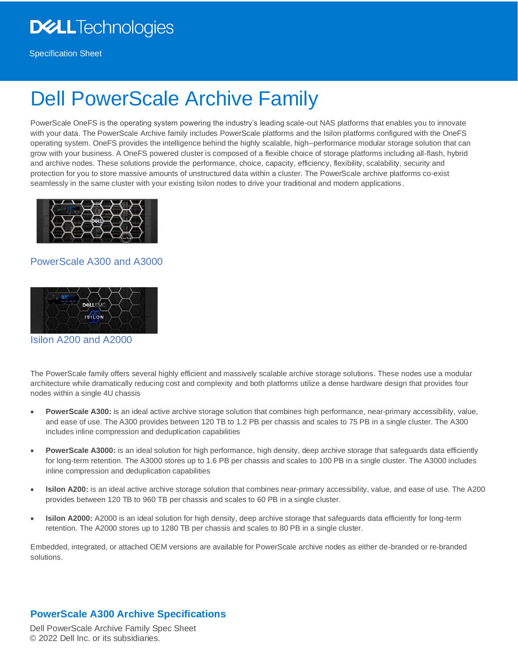# **D&LL**Technologies

Specification Sheet

# Dell PowerScale Archive Family

PowerScale OneFS is the operating system powering the industry's leading scale-out NAS platforms that enables you to innovate with your data. The PowerScale Archive family includes PowerScale platforms and the Isilon platforms configured with the OneFS operating system. OneFS provides the intelligence behind the highly scalable, high–performance modular storage solution that can grow with your business. A OneFS powered cluster is composed of a flexible choice of storage platforms including all-flash, hybrid and archive nodes. These solutions provide the performance, choice, capacity, efficiency, flexibility, scalability, security and protection for you to store massive amounts of unstructured data within a cluster. The PowerScale archive platforms co-exist seamlessly in the same cluster with your existing Isilon nodes to drive your traditional and modern applications.



#### PowerScale A300 and A3000



Isilon A200 and A2000

The PowerScale family offers several highly efficient and massively scalable archive storage solutions. These nodes use a modular architecture while dramatically reducing cost and complexity and both platforms utilize a dense hardware design that provides four nodes within a single 4U chassis

- **PowerScale A300:** is an ideal active archive storage solution that combines high performance, near-primary accessibility, value, and ease of use. The A300 provides between 120 TB to 1.2 PB per chassis and scales to 75 PB in a single cluster. The A300 includes inline compression and deduplication capabilities
- **PowerScale A3000:** is an ideal solution for high performance, high density, deep archive storage that safeguards data efficiently for long-term retention. The A3000 stores up to 1.6 PB per chassis and scales to 100 PB in a single cluster. The A3000 includes inline compression and deduplication capabilities
- **Isilon A200:** is an ideal active archive storage solution that combines near-primary accessibility, value, and ease of use. The A200 provides between 120 TB to 960 TB per chassis and scales to 60 PB in a single cluster.
- **Isilon A2000:** A2000 is an ideal solution for high density, deep archive storage that safeguards data efficiently for long-term retention. The A2000 stores up to 1280 TB per chassis and scales to 80 PB in a single cluster.

Embedded, integrated, or attached OEM versions are available for PowerScale archive nodes as either de-branded or re-branded solutions.

### **PowerScale A300 Archive Specifications**

Dell PowerScale Archive Family Spec Sheet © 2022 Dell Inc. or its subsidiaries.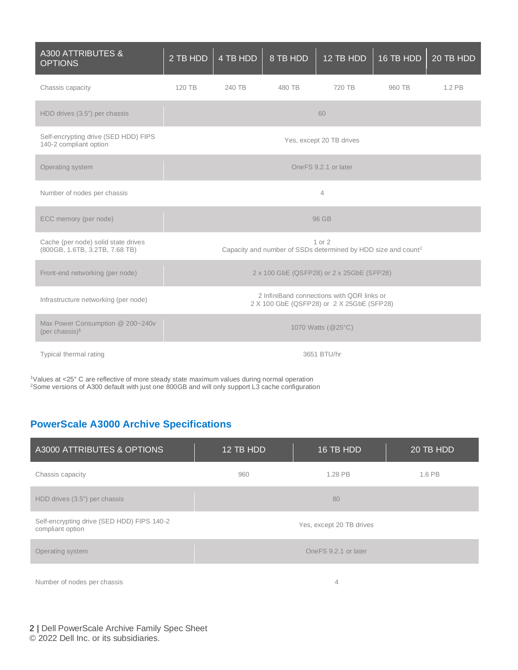| <b>A300 ATTRIBUTES &amp;</b><br><b>OPTIONS</b>                        | 2 TB HDD                                                                                | 4 TB HDD | 8 TB HDD | 12 TB HDD | 16 TB HDD | $20$ TB HDD |
|-----------------------------------------------------------------------|-----------------------------------------------------------------------------------------|----------|----------|-----------|-----------|-------------|
| Chassis capacity                                                      | 120 TB                                                                                  | 240 TB   | 480 TB   | 720 TB    | 960 TB    | 1.2 PB      |
| HDD drives (3.5") per chassis                                         |                                                                                         |          |          | 60        |           |             |
| Self-encrypting drive (SED HDD) FIPS<br>140-2 compliant option        | Yes, except 20 TB drives                                                                |          |          |           |           |             |
| Operating system                                                      | OneFS 9.2.1 or later                                                                    |          |          |           |           |             |
| Number of nodes per chassis                                           | $\overline{4}$                                                                          |          |          |           |           |             |
| ECC memory (per node)                                                 | 96 GB                                                                                   |          |          |           |           |             |
| Cache (per node) solid state drives<br>(800GB, 1.6TB, 3.2TB, 7.68 TB) | 1 or 2<br>Capacity and number of SSDs determined by HDD size and count <sup>2</sup>     |          |          |           |           |             |
| Front-end networking (per node)                                       | 2 x 100 GbE (QSFP28) or 2 x 25GbE (SFP28)                                               |          |          |           |           |             |
| Infrastructure networking (per node)                                  | 2 InfiniBand connections with QDR links or<br>2 X 100 GbE (QSFP28) or 2 X 25GbE (SFP28) |          |          |           |           |             |
| Max Power Consumption @ 200~240v<br>$(\text{per chassis})^1$          | 1070 Watts (@25°C)                                                                      |          |          |           |           |             |
| Typical thermal rating                                                | 3651 BTU/hr                                                                             |          |          |           |           |             |

<sup>1</sup>Values at <25° C are reflective of more steady state maximum values during normal operation <sup>2</sup>Some versions of A300 default with just one 800GB and will only support L3 cache configuration

# **PowerScale A3000 Archive Specifications**

| A3000 ATTRIBUTES & OPTIONS                                     | 12 TB HDD                | 16 TB HDD | 20 TB HDD |  |
|----------------------------------------------------------------|--------------------------|-----------|-----------|--|
| Chassis capacity                                               | 960                      | 1.28 PB   | 1.6 PB    |  |
| HDD drives (3.5") per chassis                                  | 80                       |           |           |  |
| Self-encrypting drive (SED HDD) FIPS 140-2<br>compliant option | Yes, except 20 TB drives |           |           |  |
| Operating system                                               | One FS 9.2.1 or later    |           |           |  |
| Number of nodes per chassis                                    | 4                        |           |           |  |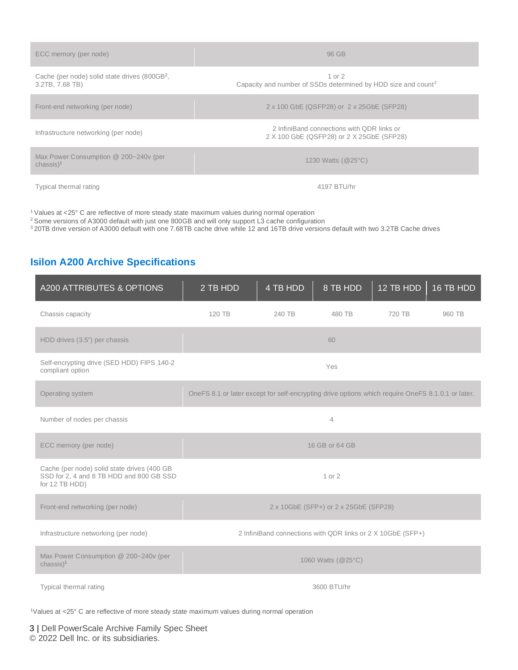| ECC memory (per node)                                                        | 96 GB                                                                                   |
|------------------------------------------------------------------------------|-----------------------------------------------------------------------------------------|
| Cache (per node) solid state drives (800GB <sup>2</sup> ,<br>3.2TB, 7.68 TB) | 1 or $2$<br>Capacity and number of SSDs determined by HDD size and count <sup>3</sup>   |
| Front-end networking (per node)                                              | 2 x 100 GbE (QSFP28) or 2 x 25GbE (SFP28)                                               |
| Infrastructure networking (per node)                                         | 2 InfiniBand connections with ODR links or<br>2 X 100 GbE (QSFP28) or 2 X 25GbE (SFP28) |
| Max Power Consumption @ 200~240v (per<br>$chassis)$ <sup>1</sup>             | 1230 Watts (@25°C)                                                                      |
| Typical thermal rating                                                       | 4197 BTU/hr                                                                             |

<sup>1</sup> Values at <25° C are reflective of more steady state maximum values during normal operation

<sup>2</sup> Some versions of A3000 default with just one 800GB and will only support L3 cache configuration

<sup>3</sup>20TB drive version of A3000 default with one 7.68TB cache drive while 12 and 16TB drive versions default with two 3.2TB Cache drives

# **Isilon A200 Archive Specifications**

| A200 ATTRIBUTES & OPTIONS                                                                                 | 2 TB HDD                                                                                          | $\overline{4}$ TB HDD | 8 TB HDD       | $12$ TB HDD | 16 TB HDD |
|-----------------------------------------------------------------------------------------------------------|---------------------------------------------------------------------------------------------------|-----------------------|----------------|-------------|-----------|
| Chassis capacity                                                                                          | 120 TB                                                                                            | 240 TB                | 480 TB         | 720 TB      | 960 TB    |
| HDD drives (3.5") per chassis                                                                             |                                                                                                   |                       | 60             |             |           |
| Self-encrypting drive (SED HDD) FIPS 140-2<br>compliant option                                            |                                                                                                   |                       | Yes            |             |           |
| Operating system                                                                                          | OneFS 8.1 or later except for self-encrypting drive options which require OneFS 8.1.0.1 or later. |                       |                |             |           |
| Number of nodes per chassis                                                                               |                                                                                                   |                       | $\overline{4}$ |             |           |
| ECC memory (per node)                                                                                     |                                                                                                   |                       | 16 GB or 64 GB |             |           |
| Cache (per node) solid state drives (400 GB<br>SSD for 2, 4 and 8 TB HDD and 800 GB SSD<br>for 12 TB HDD) | 1 or 2                                                                                            |                       |                |             |           |
| Front-end networking (per node)                                                                           | 2 x 10GbE (SFP+) or 2 x 25GbE (SFP28)                                                             |                       |                |             |           |
| Infrastructure networking (per node)                                                                      | 2 InfiniBand connections with QDR links or 2 X 10GbE (SFP+)                                       |                       |                |             |           |
| Max Power Consumption @ 200~240v (per<br>$chassis)$ <sup>1</sup>                                          | 1060 Watts (@25°C)                                                                                |                       |                |             |           |
| Typical thermal rating                                                                                    | 3600 BTU/hr                                                                                       |                       |                |             |           |

<sup>1</sup>Values at <25° C are reflective of more steady state maximum values during normal operation

3 | Dell PowerScale Archive Family Spec Sheet © 2022 Dell Inc. or its subsidiaries.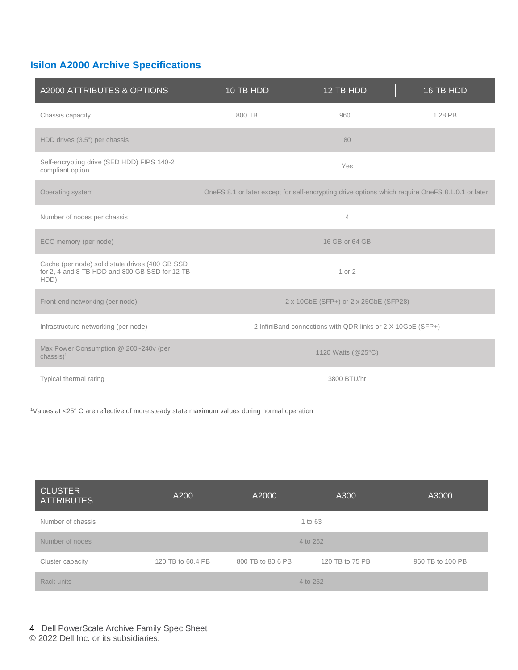# **Isilon A2000 Archive Specifications**

| A2000 ATTRIBUTES & OPTIONS                                                                                | 10 TB HDD                                                   | 12 TB HDD                                                                                         | 16 TB HDD |
|-----------------------------------------------------------------------------------------------------------|-------------------------------------------------------------|---------------------------------------------------------------------------------------------------|-----------|
| Chassis capacity                                                                                          | 800 TB                                                      | 960                                                                                               | 1.28 PB   |
| HDD drives (3.5") per chassis                                                                             |                                                             | 80                                                                                                |           |
| Self-encrypting drive (SED HDD) FIPS 140-2<br>compliant option                                            |                                                             | Yes                                                                                               |           |
| Operating system                                                                                          |                                                             | OneFS 8.1 or later except for self-encrypting drive options which require OneFS 8.1.0.1 or later. |           |
| Number of nodes per chassis                                                                               |                                                             | $\overline{4}$                                                                                    |           |
| ECC memory (per node)                                                                                     |                                                             | 16 GB or 64 GB                                                                                    |           |
| Cache (per node) solid state drives (400 GB SSD<br>for 2, 4 and 8 TB HDD and 800 GB SSD for 12 TB<br>HDD) |                                                             | 1 or 2                                                                                            |           |
| Front-end networking (per node)                                                                           |                                                             | 2 x 10GbE (SFP+) or 2 x 25GbE (SFP28)                                                             |           |
| Infrastructure networking (per node)                                                                      | 2 InfiniBand connections with QDR links or 2 X 10GbE (SFP+) |                                                                                                   |           |
| Max Power Consumption @ 200~240v (per<br>$chassis)$ <sup>1</sup>                                          | 1120 Watts (@25°C)                                          |                                                                                                   |           |
| Typical thermal rating                                                                                    | 3800 BTU/hr                                                 |                                                                                                   |           |

<sup>1</sup>Values at <25° C are reflective of more steady state maximum values during normal operation

| <b>CLUSTER</b><br><b>ATTRIBUTES</b> | A200              | A2000             | A300            | A3000            |
|-------------------------------------|-------------------|-------------------|-----------------|------------------|
| Number of chassis                   |                   |                   | 1 to 63         |                  |
| Number of nodes                     |                   |                   | 4 to 252        |                  |
| Cluster capacity                    | 120 TB to 60.4 PB | 800 TB to 80.6 PB | 120 TB to 75 PB | 960 TB to 100 PB |
| Rack units                          |                   |                   | 4 to 252        |                  |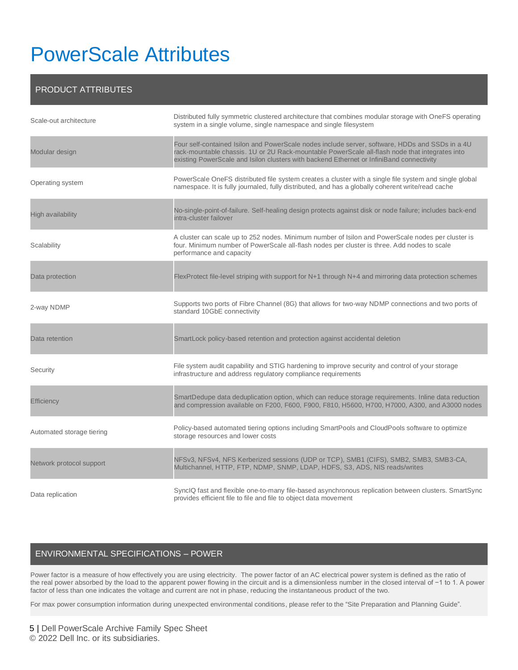# PowerScale Attributes

#### PRODUCT ATTRIBUTES

| Scale-out architecture    | Distributed fully symmetric clustered architecture that combines modular storage with OneFS operating<br>system in a single volume, single namespace and single filesystem                                                                                                                    |
|---------------------------|-----------------------------------------------------------------------------------------------------------------------------------------------------------------------------------------------------------------------------------------------------------------------------------------------|
| Modular design            | Four self-contained Isilon and PowerScale nodes include server, software, HDDs and SSDs in a 4U<br>rack-mountable chassis. 1U or 2U Rack-mountable PowerScale all-flash node that integrates into<br>existing PowerScale and Isilon clusters with backend Ethernet or InfiniBand connectivity |
| Operating system          | PowerScale OneFS distributed file system creates a cluster with a single file system and single global<br>namespace. It is fully journaled, fully distributed, and has a globally coherent write/read cache                                                                                   |
| High availability         | No-single-point-of-failure. Self-healing design protects against disk or node failure; includes back-end<br>intra-cluster failover                                                                                                                                                            |
| Scalability               | A cluster can scale up to 252 nodes. Minimum number of Isilon and PowerScale nodes per cluster is<br>four. Minimum number of PowerScale all-flash nodes per cluster is three. Add nodes to scale<br>performance and capacity                                                                  |
| Data protection           | FlexProtect file-level striping with support for N+1 through N+4 and mirroring data protection schemes                                                                                                                                                                                        |
| 2-way NDMP                | Supports two ports of Fibre Channel (8G) that allows for two-way NDMP connections and two ports of<br>standard 10GbE connectivity                                                                                                                                                             |
| Data retention            | SmartLock policy-based retention and protection against accidental deletion                                                                                                                                                                                                                   |
| Security                  | File system audit capability and STIG hardening to improve security and control of your storage<br>infrastructure and address regulatory compliance requirements                                                                                                                              |
| <b>Efficiency</b>         | SmartDedupe data deduplication option, which can reduce storage requirements. Inline data reduction<br>and compression available on F200, F600, F900, F810, H5600, H700, H7000, A300, and A3000 nodes                                                                                         |
| Automated storage tiering | Policy-based automated tiering options including SmartPools and CloudPools software to optimize<br>storage resources and lower costs                                                                                                                                                          |
| Network protocol support  | NFSv3, NFSv4, NFS Kerberized sessions (UDP or TCP), SMB1 (CIFS), SMB2, SMB3, SMB3-CA,<br>Multichannel, HTTP, FTP, NDMP, SNMP, LDAP, HDFS, S3, ADS, NIS reads/writes                                                                                                                           |
| Data replication          | SynclQ fast and flexible one-to-many file-based asynchronous replication between clusters. SmartSync<br>provides efficient file to file and file to object data movement                                                                                                                      |

#### ENVIRONMENTAL SPECIFICATIONS – POWER

Power factor is a measure of how effectively you are using electricity. The power factor of an [AC](https://en.wikipedia.org/wiki/Alternating_current) electrical power system is defined as the [ratio](https://en.wikipedia.org/wiki/Ratio) of the [real power](https://en.wikipedia.org/wiki/AC_power#Active,_reactive,_and_apparent_power) absorbed by the [load](https://en.wikipedia.org/wiki/Electrical_load) to the apparent power flowing in the circuit and is a [dimensionless number](https://en.wikipedia.org/wiki/Dimensionless_number) in the [closed interval](https://en.wikipedia.org/wiki/Closed_interval) of −1 to 1. A power factor of less than one indicates the voltage and current are not in phase, reducing the instantaneous [product](https://en.wikipedia.org/wiki/Product_(mathematics)) of the two.

For max power consumption information during unexpected environmental conditions, please refer to the "Site Preparation and Planning Guide".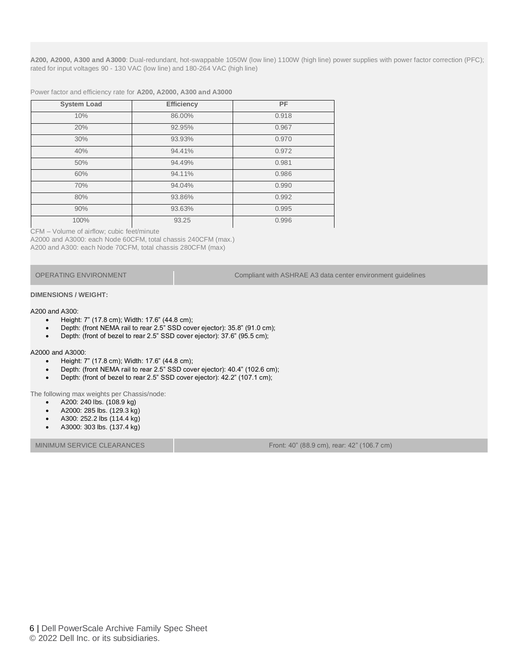**A200, A2000, A300 and A3000**: Dual-redundant, hot-swappable 1050W (low line) 1100W (high line) power supplies with power factor correction (PFC); rated for input voltages 90 - 130 VAC (low line) and 180-264 VAC (high line)

Power factor and efficiency rate for **A200, A2000, A300 and A3000**

| <b>System Load</b> | <b>Efficiency</b> | PF    |
|--------------------|-------------------|-------|
| 10%                | 86.00%            | 0.918 |
| 20%                | 92.95%            | 0.967 |
| 30%                | 93.93%            | 0.970 |
| 40%                | 94.41%            | 0.972 |
| 50%                | 94.49%            | 0.981 |
| 60%                | 94.11%            | 0.986 |
| 70%                | 94.04%            | 0.990 |
| 80%                | 93.86%            | 0.992 |
| 90%                | 93.63%            | 0.995 |
| 100%               | 93.25             | 0.996 |

CFM – Volume of airflow; cubic feet/minute

A2000 and A3000: each Node 60CFM, total chassis 240CFM (max.) A200 and A300: each Node 70CFM, total chassis 280CFM (max)

OPERATING ENVIRONMENT Compliant with ASHRAE A3 data center environment guidelines

#### **DIMENSIONS / WEIGHT:**

#### A200 and A300:

- Height: 7" (17.8 cm); Width: 17.6" (44.8 cm);
- Depth: (front NEMA rail to rear 2.5" SSD cover ejector): 35.8" (91.0 cm);
- Depth: (front of bezel to rear 2.5" SSD cover ejector): 37.6" (95.5 cm);

#### A2000 and A3000:

- Height: 7" (17.8 cm); Width: 17.6" (44.8 cm);
- Depth: (front NEMA rail to rear 2.5" SSD cover ejector): 40.4" (102.6 cm);
- Depth: (front of bezel to rear 2.5" SSD cover ejector): 42.2" (107.1 cm);

The following max weights per Chassis/node:

- A200: 240 lbs. (108.9 kg)
- A2000: 285 lbs. (129.3 kg)
- A300: 252.2 lbs (114.4 kg)
- A3000: 303 lbs. (137.4 kg)

MINIMUM SERVICE CLEARANCES FROM THE SERVICE CLEARANCES FROM THE SERVICE OF STATISTIC ACCORDING THE SERVICE OF STATISTIC AND THE SERVICE OF STATISTIC AND THE SERVICE OF STATISTIC AND THE SERVICE OF STATISTIC ACCORDING THE S